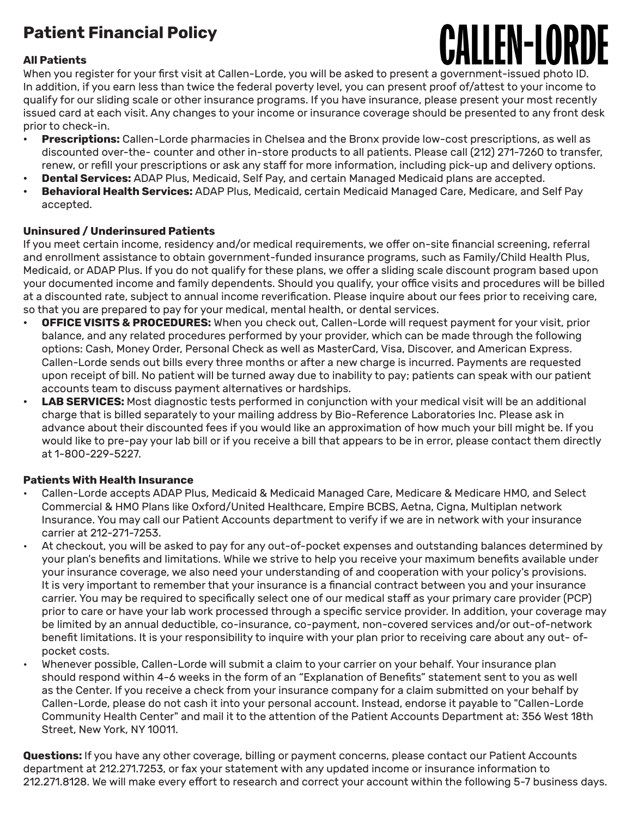# **Patient Financial Policy**

### **All Patients**



When you register for your first visit at Callen-Lorde, you will be asked to present a government-issued photo ID. In addition, if you earn less than twice the federal poverty level, you can present proof of/attest to your income to qualify for our sliding scale or other insurance programs. If you have insurance, please present your most recently issued card at each visit. Any changes to your income or insurance coverage should be presented to any front desk prior to check-in.

- **• Prescriptions:** Callen-Lorde pharmacies in Chelsea and the Bronx provide low-cost prescriptions, as well as discounted over-the- counter and other in-store products to all patients. Please call (212) 271-7260 to transfer, renew, or refill your prescriptions or ask any staff for more information, including pick-up and delivery options.
- **• Dental Services:** ADAP Plus, Medicaid, Self Pay, and certain Managed Medicaid plans are accepted.
- **• Behavioral Health Services:** ADAP Plus, Medicaid, certain Medicaid Managed Care, Medicare, and Self Pay accepted.

### **Uninsured / Underinsured Patients**

If you meet certain income, residency and/or medical requirements, we offer on-site financial screening, referral and enrollment assistance to obtain government-funded insurance programs, such as Family/Child Health Plus, Medicaid, or ADAP Plus. If you do not qualify for these plans, we offer a sliding scale discount program based upon your documented income and family dependents. Should you qualify, your office visits and procedures will be billed at a discounted rate, subject to annual income reverification. Please inquire about our fees prior to receiving care, so that you are prepared to pay for your medical, mental health, or dental services.

- **• OFFICE VISITS & PROCEDURES:** When you check out, Callen-Lorde will request payment for your visit, prior balance, and any related procedures performed by your provider, which can be made through the following options: Cash, Money Order, Personal Check as well as MasterCard, Visa, Discover, and American Express. Callen-Lorde sends out bills every three months or after a new charge is incurred. Payments are requested upon receipt of bill. No patient will be turned away due to inability to pay; patients can speak with our patient accounts team to discuss payment alternatives or hardships.
- **• LAB SERVICES:** Most diagnostic tests performed in conjunction with your medical visit will be an additional charge that is billed separately to your mailing address by Bio-Reference Laboratories Inc. Please ask in advance about their discounted fees if you would like an approximation of how much your bill might be. If you would like to pre-pay your lab bill or if you receive a bill that appears to be in error, please contact them directly at 1-800-229-5227.

### **Patients With Health Insurance**

- Callen-Lorde accepts ADAP Plus, Medicaid & Medicaid Managed Care, Medicare & Medicare HMO, and Select Commercial & HMO Plans like Oxford/United Healthcare, Empire BCBS, Aetna, Cigna, Multiplan network Insurance. You may call our Patient Accounts department to verify if we are in network with your insurance carrier at 212-271-7253.
- At checkout, you will be asked to pay for any out-of-pocket expenses and outstanding balances determined by your plan's benefits and limitations. While we strive to help you receive your maximum benefits available under your insurance coverage, we also need your understanding of and cooperation with your policy's provisions. It is very important to remember that your insurance is a financial contract between you and your insurance carrier. You may be required to specifically select one of our medical staff as your primary care provider (PCP) prior to care or have your lab work processed through a specific service provider. In addition, your coverage may be limited by an annual deductible, co-insurance, co-payment, non-covered services and/or out-of-network benefit limitations. It is your responsibility to inquire with your plan prior to receiving care about any out- ofpocket costs.
- Whenever possible, Callen-Lorde will submit a claim to your carrier on your behalf. Your insurance plan should respond within 4-6 weeks in the form of an "Explanation of Benefits" statement sent to you as well as the Center. If you receive a check from your insurance company for a claim submitted on your behalf by Callen-Lorde, please do not cash it into your personal account. Instead, endorse it payable to "Callen-Lorde Community Health Center" and mail it to the attention of the Patient Accounts Department at: 356 West 18th Street, New York, NY 10011.

**Questions:** If you have any other coverage, billing or payment concerns, please contact our Patient Accounts department at 212.271.7253, or fax your statement with any updated income or insurance information to 212.271.8128. We will make every effort to research and correct your account within the following 5-7 business days.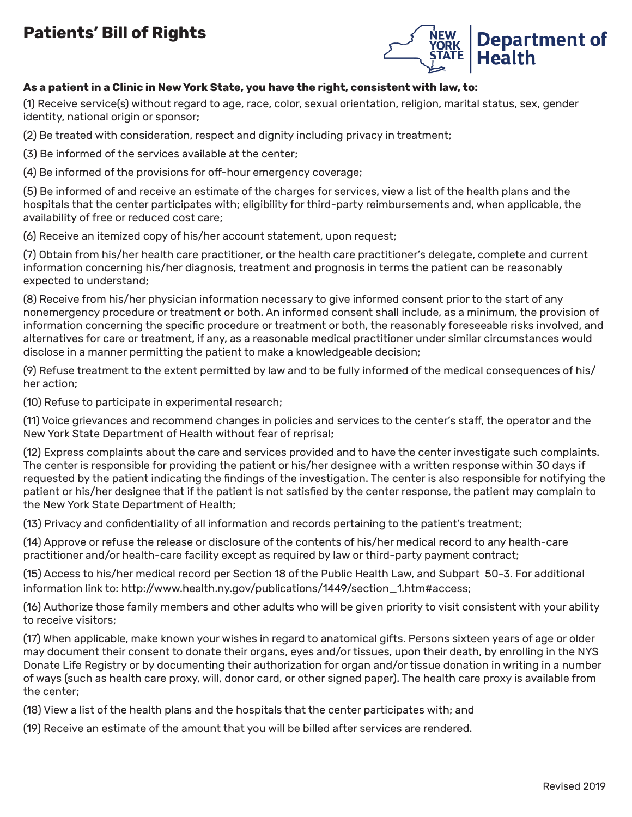## **Patients' Bill of Rights**



### **As a patient in a Clinic in New York State, you have the right, consistent with law, to:**

(1) Receive service(s) without regard to age, race, color, sexual orientation, religion, marital status, sex, gender identity, national origin or sponsor;

(2) Be treated with consideration, respect and dignity including privacy in treatment;

(3) Be informed of the services available at the center;

(4) Be informed of the provisions for off-hour emergency coverage;

(5) Be informed of and receive an estimate of the charges for services, view a list of the health plans and the hospitals that the center participates with; eligibility for third-party reimbursements and, when applicable, the availability of free or reduced cost care;

(6) Receive an itemized copy of his/her account statement, upon request;

(7) Obtain from his/her health care practitioner, or the health care practitioner's delegate, complete and current information concerning his/her diagnosis, treatment and prognosis in terms the patient can be reasonably expected to understand;

(8) Receive from his/her physician information necessary to give informed consent prior to the start of any nonemergency procedure or treatment or both. An informed consent shall include, as a minimum, the provision of information concerning the specific procedure or treatment or both, the reasonably foreseeable risks involved, and alternatives for care or treatment, if any, as a reasonable medical practitioner under similar circumstances would disclose in a manner permitting the patient to make a knowledgeable decision;

(9) Refuse treatment to the extent permitted by law and to be fully informed of the medical consequences of his/ her action;

(10) Refuse to participate in experimental research;

(11) Voice grievances and recommend changes in policies and services to the center's staff, the operator and the New York State Department of Health without fear of reprisal;

(12) Express complaints about the care and services provided and to have the center investigate such complaints. The center is responsible for providing the patient or his/her designee with a written response within 30 days if requested by the patient indicating the findings of the investigation. The center is also responsible for notifying the patient or his/her designee that if the patient is not satisfied by the center response, the patient may complain to the New York State Department of Health;

(13) Privacy and confidentiality of all information and records pertaining to the patient's treatment;

(14) Approve or refuse the release or disclosure of the contents of his/her medical record to any health-care practitioner and/or health-care facility except as required by law or third-party payment contract;

(15) Access to his/her medical record per Section 18 of the Public Health Law, and Subpart 50-3. For additional information link to: http://www.health.ny.gov/publications/1449/section\_1.htm#access;

(16) Authorize those family members and other adults who will be given priority to visit consistent with your ability to receive visitors;

(17) When applicable, make known your wishes in regard to anatomical gifts. Persons sixteen years of age or older may document their consent to donate their organs, eyes and/or tissues, upon their death, by enrolling in the NYS Donate Life Registry or by documenting their authorization for organ and/or tissue donation in writing in a number of ways (such as health care proxy, will, donor card, or other signed paper). The health care proxy is available from the center;

(18) View a list of the health plans and the hospitals that the center participates with; and

(19) Receive an estimate of the amount that you will be billed after services are rendered.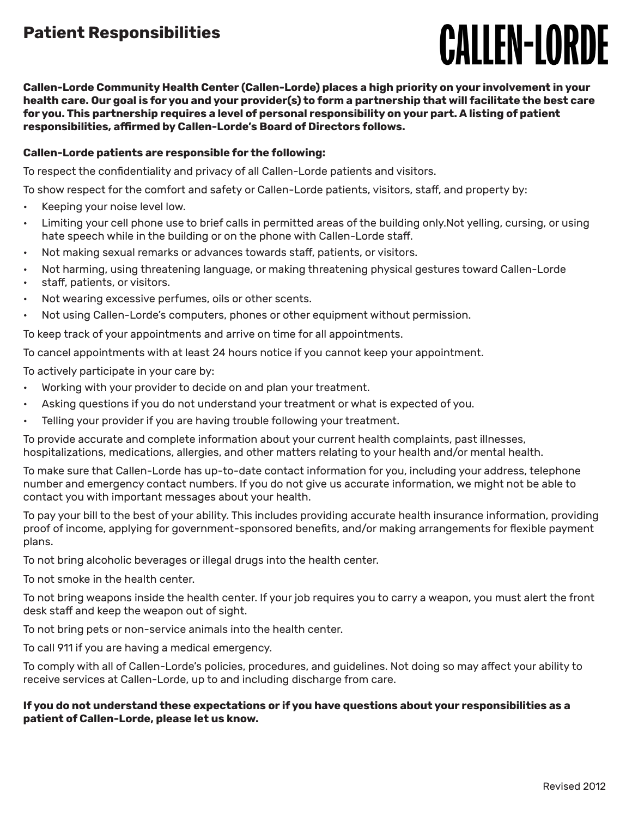## **Patient Responsibilities**

# **CALLEN-LORDE**

**Callen-Lorde Community Health Center (Callen-Lorde) places a high priority on your involvement in your health care. Our goal is for you and your provider(s) to form a partnership that will facilitate the best care for you. This partnership requires a level of personal responsibility on your part. A listing of patient responsibilities, affirmed by Callen-Lorde's Board of Directors follows.**

### **Callen-Lorde patients are responsible for the following:**

To respect the confidentiality and privacy of all Callen-Lorde patients and visitors.

To show respect for the comfort and safety or Callen-Lorde patients, visitors, staff, and property by:

- Keeping your noise level low.
- Limiting your cell phone use to brief calls in permitted areas of the building only.Not yelling, cursing, or using hate speech while in the building or on the phone with Callen-Lorde staff.
- Not making sexual remarks or advances towards staff, patients, or visitors.
- Not harming, using threatening language, or making threatening physical gestures toward Callen-Lorde
- staff, patients, or visitors.
- Not wearing excessive perfumes, oils or other scents.
- Not using Callen-Lorde's computers, phones or other equipment without permission.

To keep track of your appointments and arrive on time for all appointments.

To cancel appointments with at least 24 hours notice if you cannot keep your appointment.

To actively participate in your care by:

- Working with your provider to decide on and plan your treatment.
- Asking questions if you do not understand your treatment or what is expected of you.
- Telling your provider if you are having trouble following your treatment.

To provide accurate and complete information about your current health complaints, past illnesses, hospitalizations, medications, allergies, and other matters relating to your health and/or mental health.

To make sure that Callen-Lorde has up-to-date contact information for you, including your address, telephone number and emergency contact numbers. If you do not give us accurate information, we might not be able to contact you with important messages about your health.

To pay your bill to the best of your ability. This includes providing accurate health insurance information, providing proof of income, applying for government-sponsored benefits, and/or making arrangements for flexible payment plans.

To not bring alcoholic beverages or illegal drugs into the health center.

To not smoke in the health center.

To not bring weapons inside the health center. If your job requires you to carry a weapon, you must alert the front desk staff and keep the weapon out of sight.

To not bring pets or non-service animals into the health center.

To call 911 if you are having a medical emergency.

To comply with all of Callen-Lorde's policies, procedures, and guidelines. Not doing so may affect your ability to receive services at Callen-Lorde, up to and including discharge from care.

#### **If you do not understand these expectations or if you have questions about your responsibilities as a patient of Callen-Lorde, please let us know.**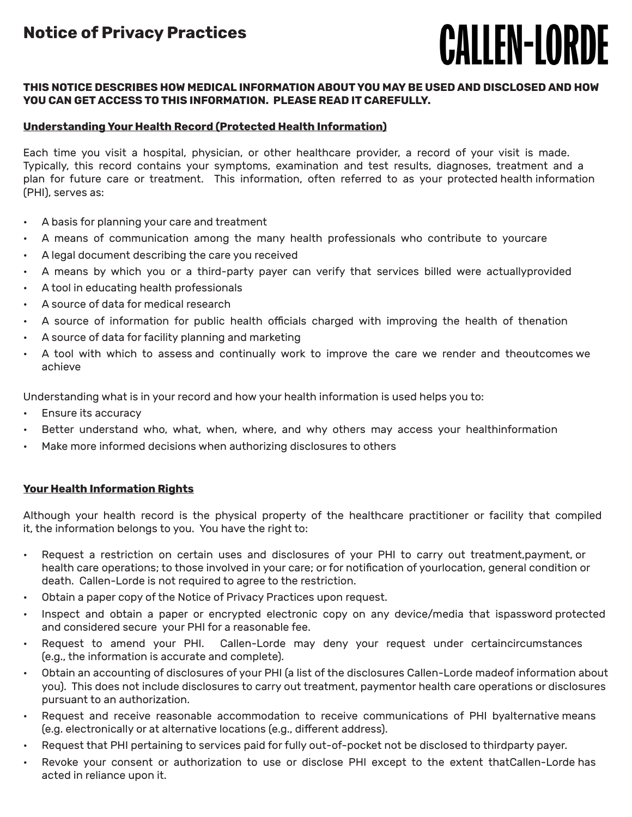# **CALLEN-LORDE**

### **THIS NOTICE DESCRIBES HOW MEDICAL INFORMATION ABOUT YOU MAY BE USED AND DISCLOSED AND HOW YOU CAN GET ACCESS TO THIS INFORMATION. PLEASE READ IT CAREFULLY.**

## **Understanding Your Health Record (Protected Health Information)**

Each time you visit a hospital, physician, or other healthcare provider, a record of your visit is made. Typically, this record contains your symptoms, examination and test results, diagnoses, treatment and a plan for future care or treatment. This information, often referred to as your protected health information (PHI), serves as:

- A basis for planning your care and treatment
- A means of communication among the many health professionals who contribute to yourcare
- A legal document describing the care you received
- A means by which you or a third-party payer can verify that services billed were actuallyprovided
- A tool in educating health professionals
- A source of data for medical research
- A source of information for public health officials charged with improving the health of thenation
- A source of data for facility planning and marketing
- A tool with which to assess and continually work to improve the care we render and theoutcomes we achieve

Understanding what is in your record and how your health information is used helps you to:

- Ensure its accuracy
- Better understand who, what, when, where, and why others may access your healthinformation
- Make more informed decisions when authorizing disclosures to others

### **Your Health Information Rights**

Although your health record is the physical property of the healthcare practitioner or facility that compiled it, the information belongs to you. You have the right to:

- Request a restriction on certain uses and disclosures of your PHI to carry out treatment,payment, or health care operations; to those involved in your care; or for notification of yourlocation, general condition or death. Callen-Lorde is not required to agree to the restriction.
- Obtain a paper copy of the Notice of Privacy Practices upon request.
- Inspect and obtain a paper or encrypted electronic copy on any device/media that ispassword protected and considered secure your PHI for a reasonable fee.
- Request to amend your PHI. Callen-Lorde may deny your request under certaincircumstances (e.g., the information is accurate and complete).
- Obtain an accounting of disclosures of your PHI (a list of the disclosures Callen-Lorde madeof information about you). This does not include disclosures to carry out treatment, paymentor health care operations or disclosures pursuant to an authorization.
- Request and receive reasonable accommodation to receive communications of PHI byalternative means (e.g. electronically or at alternative locations (e.g., different address).
- Request that PHI pertaining to services paid for fully out-of-pocket not be disclosed to thirdparty payer.
- Revoke your consent or authorization to use or disclose PHI except to the extent thatCallen-Lorde has acted in reliance upon it.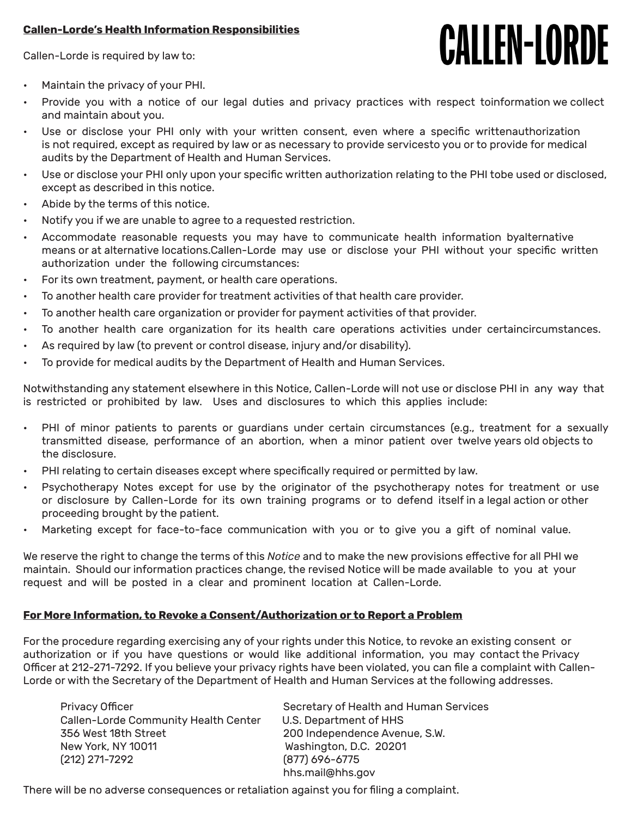### **Callen-Lorde's Health Information Responsibilities**

Callen-Lorde is required by law to:

# **CALLEN-LORDE**

- Maintain the privacy of your PHI.
- Provide you with a notice of our legal duties and privacy practices with respect toinformation we collect and maintain about you.
- Use or disclose your PHI only with your written consent, even where a specific writtenauthorization is not required, except as required by law or as necessary to provide servicesto you or to provide for medical audits by the Department of Health and Human Services.
- Use or disclose your PHI only upon your specific written authorization relating to the PHI tobe used or disclosed, except as described in this notice.
- Abide by the terms of this notice.
- Notify you if we are unable to agree to a requested restriction.
- Accommodate reasonable requests you may have to communicate health information byalternative means or at alternative locations.Callen-Lorde may use or disclose your PHI without your specific written authorization under the following circumstances:
- For its own treatment, payment, or health care operations.
- To another health care provider for treatment activities of that health care provider.
- To another health care organization or provider for payment activities of that provider.
- To another health care organization for its health care operations activities under certaincircumstances.
- As required by law (to prevent or control disease, injury and/or disability).
- To provide for medical audits by the Department of Health and Human Services.

Notwithstanding any statement elsewhere in this Notice, Callen-Lorde will not use or disclose PHI in any way that is restricted or prohibited by law. Uses and disclosures to which this applies include:

- PHI of minor patients to parents or guardians under certain circumstances (e.g., treatment for a sexually transmitted disease, performance of an abortion, when a minor patient over twelve years old objects to the disclosure.
- PHI relating to certain diseases except where specifically required or permitted by law.
- Psychotherapy Notes except for use by the originator of the psychotherapy notes for treatment or use or disclosure by Callen-Lorde for its own training programs or to defend itself in a legal action or other proceeding brought by the patient.
- Marketing except for face-to-face communication with you or to give you a gift of nominal value.

We reserve the right to change the terms of this *Notice* and to make the new provisions effective for all PHI we maintain. Should our information practices change, the revised Notice will be made available to you at your request and will be posted in a clear and prominent location at Callen-Lorde.

### **For More Information, to Revoke a Consent/Authorization or to Report a Problem**

For the procedure regarding exercising any of your rights under this Notice, to revoke an existing consent or authorization or if you have questions or would like additional information, you may contact the Privacy Officer at 212-271-7292. If you believe your privacy rights have been violated, you can file a complaint with Callen-Lorde or with the Secretary of the Department of Health and Human Services at the following addresses.

Callen-Lorde Community Health Center U.S. Department of HHS 356 West 18th Street 200 Independence Avenue, S.W. New York, NY 10011 Washington, D.C. 20201 (212) 271-7292 (877) 696-6775

Privacy Officer  $\blacksquare$  Secretary of Health and Human Services hhs.mail@hhs.gov

There will be no adverse consequences or retaliation against you for filing a complaint.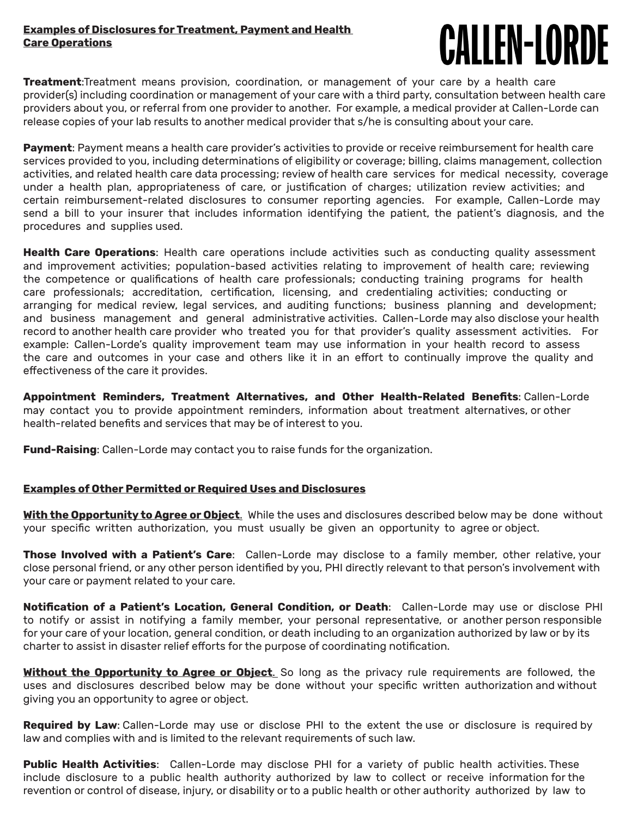### **Examples of Disclosures for Treatment, Payment and Health Care Operations**

# **CALLEN-LORDE**

**Treatment**:Treatment means provision, coordination, or management of your care by a health care provider(s) including coordination or management of your care with a third party, consultation between health care providers about you, or referral from one provider to another. For example, a medical provider at Callen-Lorde can release copies of your lab results to another medical provider that s/he is consulting about your care.

**Payment**: Payment means a health care provider's activities to provide or receive reimbursement for health care services provided to you, including determinations of eligibility or coverage; billing, claims management, collection activities, and related health care data processing; review of health care services for medical necessity, coverage under a health plan, appropriateness of care, or justification of charges; utilization review activities; and certain reimbursement-related disclosures to consumer reporting agencies. For example, Callen-Lorde may send a bill to your insurer that includes information identifying the patient, the patient's diagnosis, and the procedures and supplies used.

**Health Care Operations**: Health care operations include activities such as conducting quality assessment and improvement activities; population-based activities relating to improvement of health care; reviewing the competence or qualifications of health care professionals; conducting training programs for health care professionals; accreditation, certification, licensing, and credentialing activities; conducting or arranging for medical review, legal services, and auditing functions; business planning and development; and business management and general administrative activities. Callen-Lorde may also disclose your health record to another health care provider who treated you for that provider's quality assessment activities. For example: Callen-Lorde's quality improvement team may use information in your health record to assess the care and outcomes in your case and others like it in an effort to continually improve the quality and effectiveness of the care it provides.

**Appointment Reminders, Treatment Alternatives, and Other Health-Related Benefits**: Callen-Lorde may contact you to provide appointment reminders, information about treatment alternatives, or other health-related benefits and services that may be of interest to you.

**Fund-Raising**: Callen-Lorde may contact you to raise funds for the organization.

#### **Examples of Other Permitted or Required Uses and Disclosures**

**With the Opportunity to Agree or Object**. While the uses and disclosures described below may be done without your specific written authorization, you must usually be given an opportunity to agree or object.

**Those Involved with a Patient's Care**: Callen-Lorde may disclose to a family member, other relative, your close personal friend, or any other person identified by you, PHI directly relevant to that person's involvement with your care or payment related to your care.

**Notification of a Patient's Location, General Condition, or Death**: Callen-Lorde may use or disclose PHI to notify or assist in notifying a family member, your personal representative, or another person responsible for your care of your location, general condition, or death including to an organization authorized by law or by its charter to assist in disaster relief efforts for the purpose of coordinating notification.

**Without the Opportunity to Agree or Object**. So long as the privacy rule requirements are followed, the uses and disclosures described below may be done without your specific written authorization and without giving you an opportunity to agree or object.

**Required by Law**: Callen-Lorde may use or disclose PHI to the extent the use or disclosure is required by law and complies with and is limited to the relevant requirements of such law.

**Public Health Activities**: Callen-Lorde may disclose PHI for a variety of public health activities. These include disclosure to a public health authority authorized by law to collect or receive information for the revention or control of disease, injury, or disability or to a public health or other authority authorized by law to